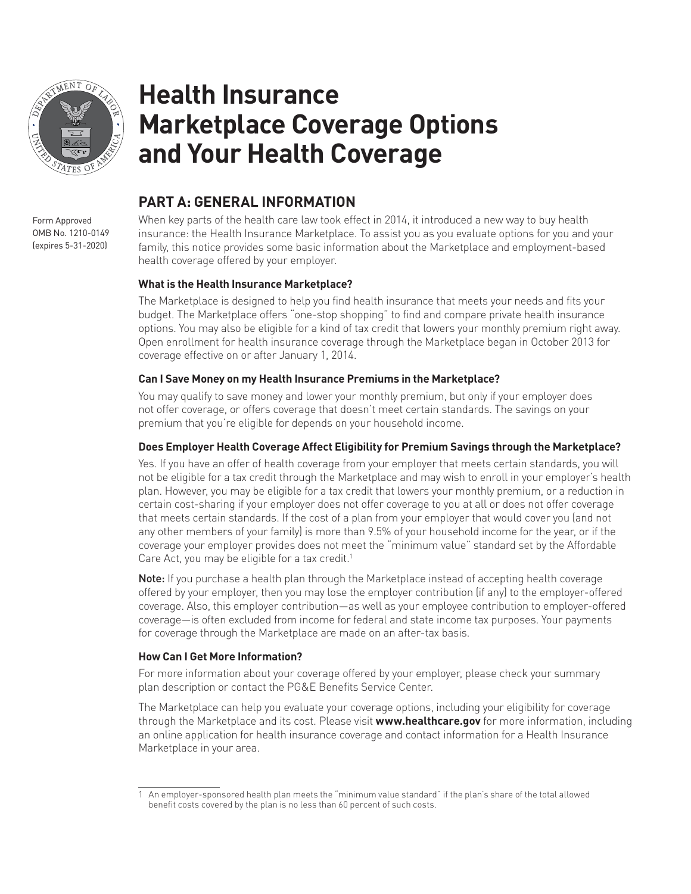

# **Health Insurance Marketplace Coverage Options and Your Health Coverage**

### **PART A: GENERAL INFORMATION**

When key parts of the health care law took effect in 2014, it introduced a new way to buy health insurance: the Health Insurance Marketplace. To assist you as you evaluate options for you and your family, this notice provides some basic information about the Marketplace and employment-based health coverage offered by your employer.

#### **What is the Health Insurance Marketplace?**

The Marketplace is designed to help you find health insurance that meets your needs and fits your budget. The Marketplace offers "one-stop shopping" to find and compare private health insurance options. You may also be eligible for a kind of tax credit that lowers your monthly premium right away. Open enrollment for health insurance coverage through the Marketplace began in October 2013 for coverage effective on or after January 1, 2014.

#### **Can I Save Money on my Health Insurance Premiums in the Marketplace?**

You may qualify to save money and lower your monthly premium, but only if your employer does not offer coverage, or offers coverage that doesn't meet certain standards. The savings on your premium that you're eligible for depends on your household income.

#### **Does Employer Health Coverage Affect Eligibility for Premium Savings through the Marketplace?**

Yes. If you have an offer of health coverage from your employer that meets certain standards, you will not be eligible for a tax credit through the Marketplace and may wish to enroll in your employer's health plan. However, you may be eligible for a tax credit that lowers your monthly premium, or a reduction in certain cost-sharing if your employer does not offer coverage to you at all or does not offer coverage that meets certain standards. If the cost of a plan from your employer that would cover you (and not any other members of your family) is more than 9.5% of your household income for the year, or if the coverage your employer provides does not meet the "minimum value" standard set by the Affordable Care Act, you may be eligible for a tax credit.<sup>1</sup>

Note: If you purchase a health plan through the Marketplace instead of accepting health coverage offered by your employer, then you may lose the employer contribution (if any) to the employer-offered coverage. Also, this employer contribution—as well as your employee contribution to employer-offered coverage—is often excluded from income for federal and state income tax purposes. Your payments for coverage through the Marketplace are made on an after-tax basis.

#### **How Can I Get More Information?**

For more information about your coverage offered by your employer, please check your summary plan description or contact the PG&E Benefits Service Center.

The Marketplace can help you evaluate your coverage options, including your eligibility for coverage through the Marketplace and its cost. Please visit **www.healthcare.gov** for more information, including an online application for health insurance coverage and contact information for a Health Insurance Marketplace in your area.

Form Approved OMB No. 1210-0149 (expires 5-31-2020)

<sup>1</sup> An employer-sponsored health plan meets the "minimum value standard" if the plan's share of the total allowed benefit costs covered by the plan is no less than 60 percent of such costs.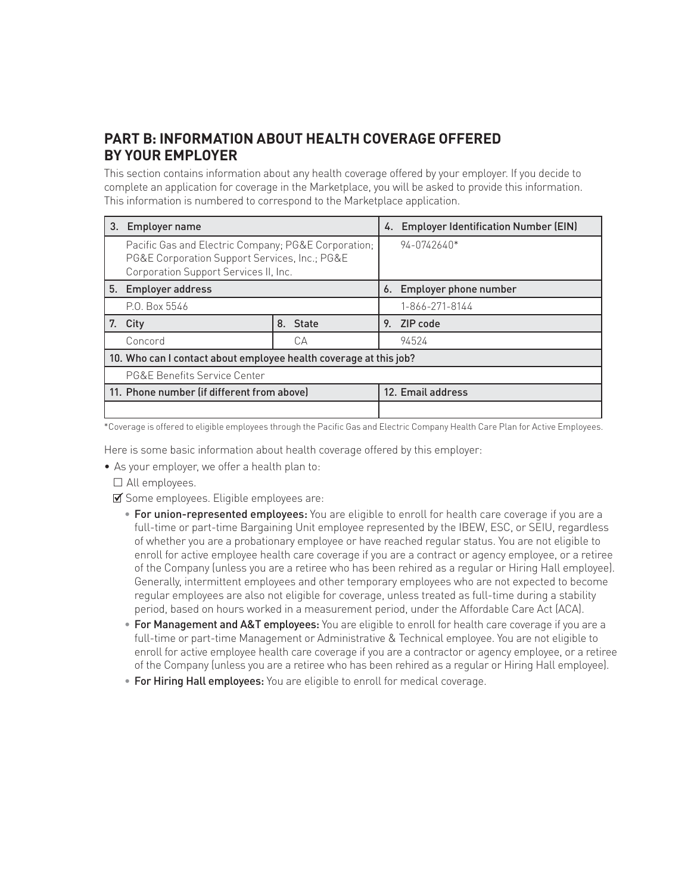## **PART B: INFORMATION ABOUT HEALTH COVERAGE OFFERED BY YOUR EMPLOYER**

This section contains information about any health coverage offered by your employer. If you decide to complete an application for coverage in the Marketplace, you will be asked to provide this information. This information is numbered to correspond to the Marketplace application.

| 3.                                                                | <b>Employer name</b>                                                                                                                          |          |    | <b>Employer Identification Number (EIN)</b><br>4. |  |
|-------------------------------------------------------------------|-----------------------------------------------------------------------------------------------------------------------------------------------|----------|----|---------------------------------------------------|--|
|                                                                   | Pacific Gas and Electric Company; PG&E Corporation;<br>PG&E Corporation Support Services, Inc.; PG&E<br>Corporation Support Services II, Inc. |          |    | 94-0742640*                                       |  |
|                                                                   | 5. Employer address                                                                                                                           |          |    | 6. Employer phone number                          |  |
|                                                                   | P.O. Box 5546                                                                                                                                 |          |    | 1-866-271-8144                                    |  |
| 7.                                                                | City                                                                                                                                          | 8. State | 9. | ZIP code                                          |  |
|                                                                   | Concord                                                                                                                                       | CА       |    | 94524                                             |  |
| 10. Who can I contact about employee health coverage at this job? |                                                                                                                                               |          |    |                                                   |  |
|                                                                   | PG&E Benefits Service Center                                                                                                                  |          |    |                                                   |  |
|                                                                   | 11. Phone number (if different from above)                                                                                                    |          |    | 12. Email address                                 |  |
|                                                                   |                                                                                                                                               |          |    |                                                   |  |

\*Coverage is offered to eligible employees through the Pacific Gas and Electric Company Health Care Plan for Active Employees.

Here is some basic information about health coverage offered by this employer:

• As your employer, we offer a health plan to:

 $\square$  All employees.

- $\blacksquare$  Some employees. Eligible employees are:
	- For union-represented employees: You are eligible to enroll for health care coverage if you are a full-time or part-time Bargaining Unit employee represented by the IBEW, ESC, or SEIU, regardless of whether you are a probationary employee or have reached regular status. You are not eligible to enroll for active employee health care coverage if you are a contract or agency employee, or a retiree of the Company (unless you are a retiree who has been rehired as a regular or Hiring Hall employee). Generally, intermittent employees and other temporary employees who are not expected to become regular employees are also not eligible for coverage, unless treated as full-time during a stability period, based on hours worked in a measurement period, under the Affordable Care Act (ACA).
	- For Management and A&T employees: You are eligible to enroll for health care coverage if you are a full-time or part-time Management or Administrative & Technical employee. You are not eligible to enroll for active employee health care coverage if you are a contractor or agency employee, or a retiree of the Company (unless you are a retiree who has been rehired as a regular or Hiring Hall employee).
	- For Hiring Hall employees: You are eligible to enroll for medical coverage.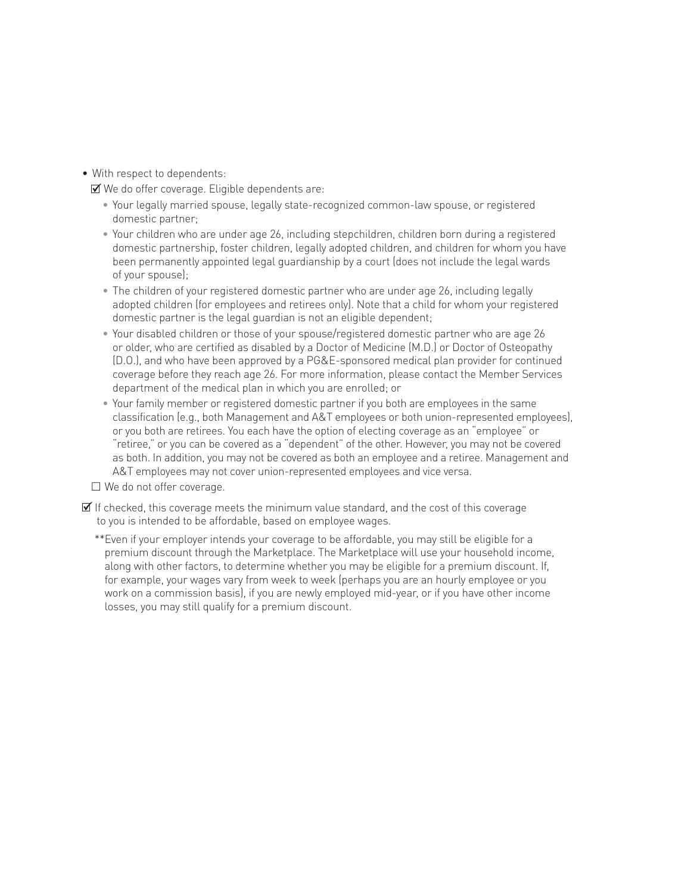• With respect to dependents:

We do offer coverage. Eligible dependents are:

- Your legally married spouse, legally state-recognized common-law spouse, or registered domestic partner;
- Your children who are under age 26, including stepchildren, children born during a registered domestic partnership, foster children, legally adopted children, and children for whom you have been permanently appointed legal guardianship by a court (does not include the legal wards of your spouse);
- The children of your registered domestic partner who are under age 26, including legally adopted children (for employees and retirees only). Note that a child for whom your registered domestic partner is the legal guardian is not an eligible dependent;
- Your disabled children or those of your spouse/registered domestic partner who are age 26 or older, who are certified as disabled by a Doctor of Medicine (M.D.) or Doctor of Osteopathy (D.O.), and who have been approved by a PG&E-sponsored medical plan provider for continued coverage before they reach age 26. For more information, please contact the Member Services department of the medical plan in which you are enrolled; or
- Your family member or registered domestic partner if you both are employees in the same classification (e.g., both Management and A&T employees or both union-represented employees), or you both are retirees. You each have the option of electing coverage as an "employee" or "retiree," or you can be covered as a "dependent" of the other. However, you may not be covered as both. In addition, you may not be covered as both an employee and a retiree. Management and A&T employees may not cover union-represented employees and vice versa.

 $\square$  We do not offer coverage.

 $\mathbb Z$  If checked, this coverage meets the minimum value standard, and the cost of this coverage to you is intended to be affordable, based on employee wages.

\*\*Even if your employer intends your coverage to be affordable, you may still be eligible for a premium discount through the Marketplace. The Marketplace will use your household income, along with other factors, to determine whether you may be eligible for a premium discount. If, for example, your wages vary from week to week (perhaps you are an hourly employee or you work on a commission basis), if you are newly employed mid-year, or if you have other income losses, you may still qualify for a premium discount.